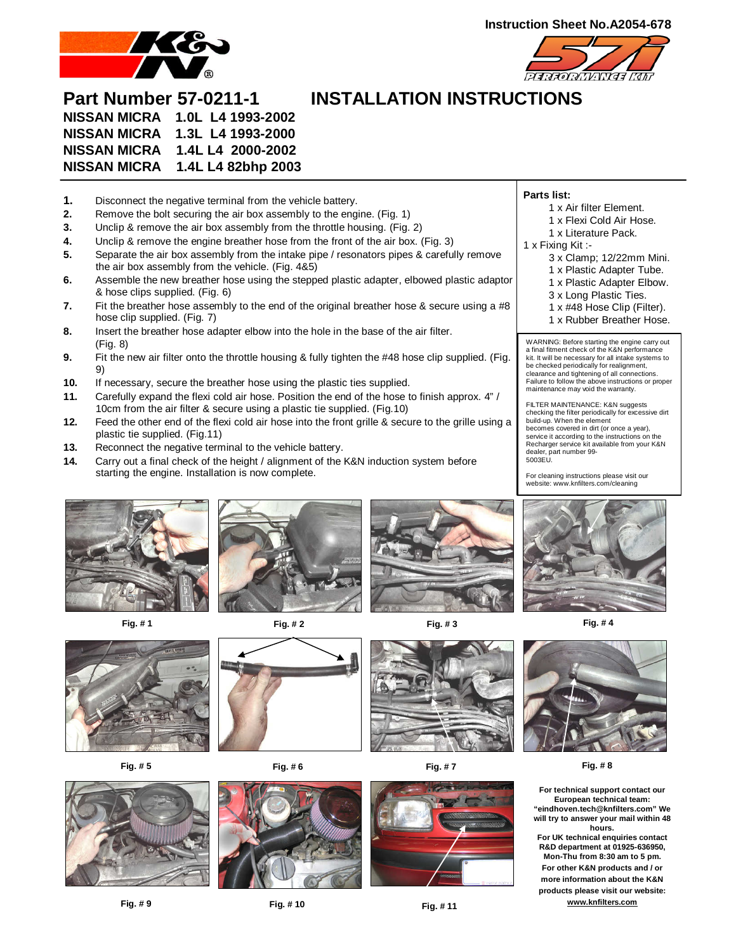



# **Part Number 57-0211-1 INSTALLATION INSTRUCTIONS NISSAN MICRA 1.0L L4 1993-2002 NISSAN MICRA 1.3L L4 1993-2000 NISSAN MICRA 1.4L L4 2000-2002 NISSAN MICRA 1.4L L4 82bhp 2003**

- **1.** Disconnect the negative terminal from the vehicle battery.
- **2.** Remove the bolt securing the air box assembly to the engine. (Fig. 1)
- **3.** Unclip & remove the air box assembly from the throttle housing. (Fig. 2)
- **4.** Unclip & remove the engine breather hose from the front of the air box. (Fig. 3)
- **5.** Separate the air box assembly from the intake pipe / resonators pipes & carefully remove the air box assembly from the vehicle. (Fig. 4&5)
- **6.** Assemble the new breather hose using the stepped plastic adapter, elbowed plastic adaptor & hose clips supplied. (Fig. 6)
- **7.** Fit the breather hose assembly to the end of the original breather hose & secure using a #8 hose clip supplied. (Fig. 7)
- **8.** Insert the breather hose adapter elbow into the hole in the base of the air filter. (Fig. 8)
- **9.** Fit the new air filter onto the throttle housing & fully tighten the #48 hose clip supplied. (Fig. 9)
- **10.** If necessary, secure the breather hose using the plastic ties supplied.
- **11.** Carefully expand the flexi cold air hose. Position the end of the hose to finish approx. 4" / 10cm from the air filter & secure using a plastic tie supplied. (Fig.10)
- **12.** Feed the other end of the flexi cold air hose into the front grille & secure to the grille using a plastic tie supplied. (Fig.11)
- **13.** Reconnect the negative terminal to the vehicle battery.
- **14.** Carry out a final check of the height / alignment of the K&N induction system before starting the engine. Installation is now complete.



- 1 x Air filter Element.
- 1 x Flexi Cold Air Hose.
- 1 x Literature Pack.
- 1 x Fixing Kit :-
	- 3 x Clamp; 12/22mm Mini.
	- 1 x Plastic Adapter Tube.
	- 1 x Plastic Adapter Elbow.
	- 3 x Long Plastic Ties.
	- 1 x #48 Hose Clip (Filter).
	- 1 x Rubber Breather Hose.

WARNING: Before starting the engine carry out a final fitment check of the K&N performance kit. It will be necessary for all intake systems to be checked periodically for realignment, clearance and tightening of all connections. Failure to follow the above instructions or proper maintenance may void the warranty.

FILTER MAINTENANCE: K&N suggests checking the filter periodically for excessive dirt build-up. When the element becomes covered in dirt (or once a year), service it according to the instructions on the Recharger service kit available from your K&N dealer, part number 99- 5003EU.

For cleaning instructions please visit our website: www.knfilters.com/cleaning



**Fig. # 1 Fig. # 2 Fig. # 3 Fig. # 4**















**Fig. # 9 Fig. # 10 Fig. # 11** 



**For technical support contact our European technical team: "eindhoven.tech@knfilters.com" We will try to answer your mail within 48 hours. For UK technical enquiries contact R&D department at 01925-636950, Mon-Thu from 8:30 am to 5 pm. For other K&N products and / or more information about the K&N products please visit our website: www.knfilters.com**

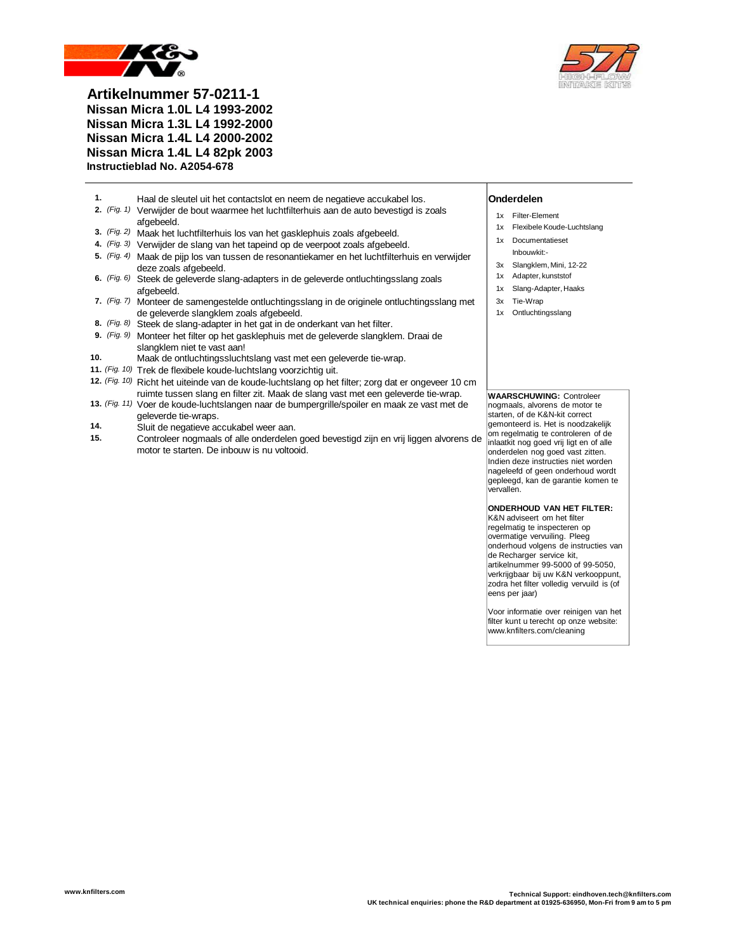

**Artikelnummer 57-0211-1 Nissan Micra 1.0L L4 1993-2002 Nissan Micra 1.3L L4 1992-2000 Nissan Micra 1.4L L4 2000-2002 Nissan Micra 1.4L L4 82pk 2003 Instructieblad No. A2054-678**

- **1.** Haal de sleutel uit het contactslot en neem de negatieve accukabel los. **Onderdelen**
- **2.** *(Fig. 1)* Verwijder de bout waarmee het luchtfilterhuis aan de auto bevestigd is zoals afgebeeld.
- **3.** *(Fig. 2)* Maak het luchtfilterhuis los van het gasklephuis zoals afgebeeld.
- **4.** *(Fig. 3)* Verwijder de slang van het tapeind op de veerpoot zoals afgebeeld.
- **5.** *(Fig. 4)* Maak de pijp los van tussen de resonantiekamer en het luchtfilterhuis en verwijder deze zoals afgebeeld.
- **6.** *(Fig. 6)* Steek de geleverde slang-adapters in de geleverde ontluchtingsslang zoals afgebeeld.
- **7.** *(Fig. 7)* Monteer de samengestelde ontluchtingsslang in de originele ontluchtingsslang met de geleverde slangklem zoals afgebeeld.
- **8.** *(Fig. 8)* Steek de slang-adapter in het gat in de onderkant van het filter.
- **9.** *(Fig. 9)* Monteer het filter op het gasklephuis met de geleverde slangklem. Draai de slangklem niet te vast aan!
- **10.** Maak de ontluchtingssluchtslang vast met een geleverde tie-wrap.
- **11.** *(Fig. 10)* Trek de flexibele koude-luchtslang voorzichtig uit.
- **12.** *(Fig. 10)* Richt het uiteinde van de koude-luchtslang op het filter; zorg dat er ongeveer 10 cm ruimte tussen slang en filter zit. Maak de slang vast met een geleverde tie-wrap.
- **13.** *(Fig. 11)* Voer de koude-luchtslangen naar de bumpergrille/spoiler en maak ze vast met de geleverde tie-wraps.
- **14.** Sluit de negatieve accukabel weer aan.
- **15.** Controleer nogmaals of alle onderdelen goed bevestigd zijn en vrij liggen alvorens de motor te starten. De inbouw is nu voltooid.

- 1x Filter-Element
- 1x Flexibele Koude-Luchtslang
- 1x Documentatieset
- Inbouwkit:-
- 3x Slangklem, Mini, 12-22 1x Adapter, kunststof
- 1x Slang-Adapter, Haaks
- 3x Tie-Wrap
- 1x Ontluchtingsslang

### **WAARSCHUWING:** Controleer

nogmaals, alvorens de motor te starten, of de K&N-kit correct gemonteerd is. Het is noodzakelijk om regelmatig te controleren of de inlaatkit nog goed vrij ligt en of alle onderdelen nog goed vast zitten. Indien deze instructies niet worden nageleefd of geen onderhoud wordt gepleegd, kan de garantie komen te vervallen.

## **ONDERHOUD VAN HET FILTER:**

K&N adviseert om het filter regelmatig te inspecteren op overmatige vervuiling. Pleeg onderhoud volgens de instructies van de Recharger service kit, artikelnummer 99-5000 of 99-5050, verkrijgbaar bij uw K&N verkooppunt, zodra het filter volledig vervuild is (of eens per jaar)

Voor informatie over reinigen van het filter kunt u terecht op onze website: www.knfilters.com/cleaning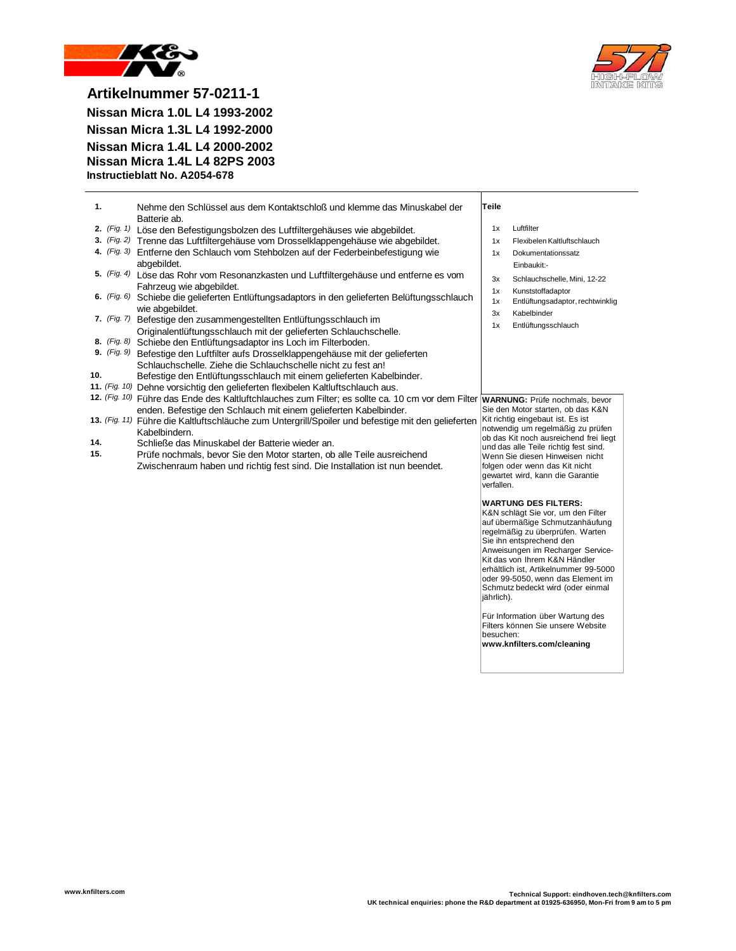



**Artikelnummer 57-0211-1 Nissan Micra 1.0L L4 1993-2002 Nissan Micra 1.3L L4 1992-2000 Nissan Micra 1.4L L4 2000-2002 Nissan Micra 1.4L L4 82PS 2003 Instructieblatt No. A2054-678**

| -1. | Nehme den Schlüssel aus dem Kontaktschloß und klemme das Minuskabel der<br>Batterie ab. | Teile |                             |
|-----|-----------------------------------------------------------------------------------------|-------|-----------------------------|
|     | 2. (Fig. 1) Löse den Befestigungsbolzen des Luftfiltergehäuses wie abgebildet.          | 1x    | Luftfilter                  |
|     | 3. (Fig. 2) Trenne das Luftfiltergehäuse vom Drosselklappengehäuse wie abgebildet.      | 1x    | Flexibelen Kaltluftschlauch |
|     | 4. (Fig. 3) Entferne den Schlauch vom Stehbolzen auf der Federbeinbefestigung wie       | 1x    | Dokumentationssatz          |
|     | abgebildet.                                                                             |       | Einbaukit:-                 |

- **5.** *(Fig. 4)* Löse das Rohr vom Resonanzkasten und Luftfiltergehäuse und entferne es vom Fahrzeug wie abgebildet.
- **6.** *(Fig. 6)* Schiebe die gelieferten Entlüftungsadaptors in den gelieferten Belüftungsschlauch wie abgebildet.
- **7.** *(Fig. 7)* Befestige den zusammengestellten Entlüftungsschlauch im Originalentlüftungsschlauch mit der gelieferten Schlauchschelle.
- **8.** *(Fig. 8)* Schiebe den Entlüftungsadaptor ins Loch im Filterboden.
- **9.** *(Fig. 9)* Befestige den Luftfilter aufs Drosselklappengehäuse mit der gelieferten Schlauchschelle. Ziehe die Schlauchschelle nicht zu fest an!
- **10.** Befestige den Entlüftungsschlauch mit einem gelieferten Kabelbinder.
- **11.** *(Fig. 10)* Dehne vorsichtig den gelieferten flexibelen Kaltluftschlauch aus.
- **12.** *(Fig. 10)* Führe das Ende des Kaltluftchlauches zum Filter; es sollte ca. 10 cm vor dem Filter **WARNUNG:** Prüfe nochmals, bevor enden. Befestige den Schlauch mit einem gelieferten Kabelbinder.
- **13.** *(Fig. 11)* Führe die Kaltluftschläuche zum Untergrill/Spoiler und befestige mit den gelieferten Kabelbindern.
- **14.** Schließe das Minuskabel der Batterie wieder an.
- **15.** Prüfe nochmals, bevor Sie den Motor starten, ob alle Teile ausreichend Zwischenraum haben und richtig fest sind. Die Installation ist nun beendet.
- Einbaukit:-
- 3x Schlauchschelle, Mini, 12-22
- 1x Kunststoffadaptor
- 1x Entlüftungsadaptor, rechtwinklig
- 3x Kabelbinder 1x Entlüftungsschlauch

Sie den Motor starten, ob das K&N Kit richtig eingebaut ist. Es ist notwendig um regelmäßig zu prüfen ob das Kit noch ausreichend frei liegt und das alle Teile richtig fest sind. Wenn Sie diesen Hinweisen nicht folgen oder wenn das Kit nicht gewartet wird, kann die Garantie verfallen.

### **WARTUNG DES FILTERS:**

K&N schlägt Sie vor, um den Filter auf übermäßige Schmutzanhäufung regelmäßig zu überprüfen. Warten Sie ihn entsprechend den Anweisungen im Recharger Service-Kit das von Ihrem K&N Händler erhältlich ist, Artikelnummer 99-5000 oder 99-5050, wenn das Element im Schmutz bedeckt wird (oder einmal jährlich).

Für Information über Wartung des Filters können Sie unsere Website besuchen:

**www.knfilters.com/cleaning**